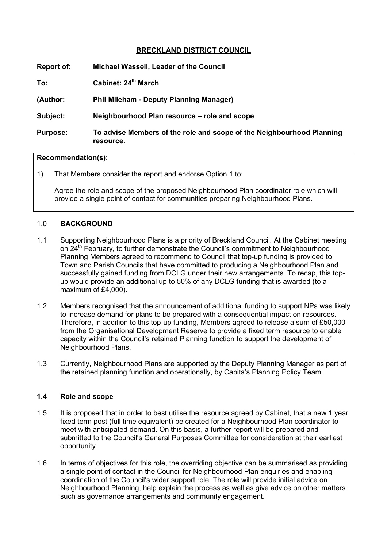## **BRECKLAND DISTRICT COUNCIL**

| Report of:      | Michael Wassell, Leader of the Council                                             |
|-----------------|------------------------------------------------------------------------------------|
| To:             | Cabinet: 24 <sup>th</sup> March                                                    |
| (Author:        | <b>Phil Mileham - Deputy Planning Manager)</b>                                     |
| Subject:        | Neighbourhood Plan resource – role and scope                                       |
| <b>Purpose:</b> | To advise Members of the role and scope of the Neighbourhood Planning<br>resource. |

## **Recommendation(s):**

1) That Members consider the report and endorse Option 1 to:

Agree the role and scope of the proposed Neighbourhood Plan coordinator role which will provide a single point of contact for communities preparing Neighbourhood Plans.

### 1.0 **BACKGROUND**

- 1.1 Supporting Neighbourhood Plans is a priority of Breckland Council. At the Cabinet meeting on 24<sup>th</sup> February, to further demonstrate the Council's commitment to Neighbourhood Planning Members agreed to recommend to Council that top-up funding is provided to Town and Parish Councils that have committed to producing a Neighbourhood Plan and successfully gained funding from DCLG under their new arrangements. To recap, this topup would provide an additional up to 50% of any DCLG funding that is awarded (to a maximum of £4,000).
- 1.2 Members recognised that the announcement of additional funding to support NPs was likely to increase demand for plans to be prepared with a consequential impact on resources. Therefore, in addition to this top-up funding, Members agreed to release a sum of £50,000 from the Organisational Development Reserve to provide a fixed term resource to enable capacity within the Council's retained Planning function to support the development of Neighbourhood Plans.
- 1.3 Currently, Neighbourhood Plans are supported by the Deputy Planning Manager as part of the retained planning function and operationally, by Capita's Planning Policy Team.

#### **1.4 Role and scope**

- 1.5 It is proposed that in order to best utilise the resource agreed by Cabinet, that a new 1 year fixed term post (full time equivalent) be created for a Neighbourhood Plan coordinator to meet with anticipated demand. On this basis, a further report will be prepared and submitted to the Council's General Purposes Committee for consideration at their earliest opportunity.
- 1.6 In terms of objectives for this role, the overriding objective can be summarised as providing a single point of contact in the Council for Neighbourhood Plan enquiries and enabling coordination of the Council's wider support role. The role will provide initial advice on Neighbourhood Planning, help explain the process as well as give advice on other matters such as governance arrangements and community engagement.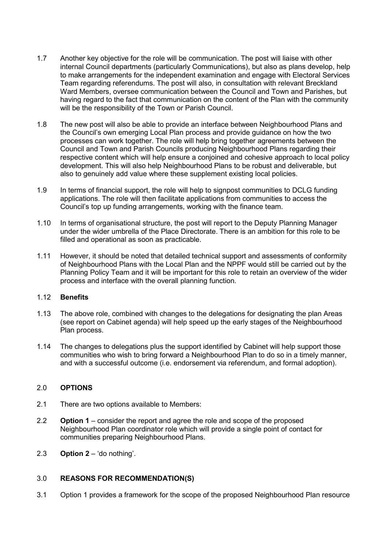- 1.7 Another key objective for the role will be communication. The post will liaise with other internal Council departments (particularly Communications), but also as plans develop, help to make arrangements for the independent examination and engage with Electoral Services Team regarding referendums. The post will also, in consultation with relevant Breckland Ward Members, oversee communication between the Council and Town and Parishes, but having regard to the fact that communication on the content of the Plan with the community will be the responsibility of the Town or Parish Council.
- 1.8 The new post will also be able to provide an interface between Neighbourhood Plans and the Council's own emerging Local Plan process and provide guidance on how the two processes can work together. The role will help bring together agreements between the Council and Town and Parish Councils producing Neighbourhood Plans regarding their respective content which will help ensure a conjoined and cohesive approach to local policy development. This will also help Neighbourhood Plans to be robust and deliverable, but also to genuinely add value where these supplement existing local policies.
- 1.9 In terms of financial support, the role will help to signpost communities to DCLG funding applications. The role will then facilitate applications from communities to access the Council's top up funding arrangements, working with the finance team.
- 1.10 In terms of organisational structure, the post will report to the Deputy Planning Manager under the wider umbrella of the Place Directorate. There is an ambition for this role to be filled and operational as soon as practicable.
- 1.11 However, it should be noted that detailed technical support and assessments of conformity of Neighbourhood Plans with the Local Plan and the NPPF would still be carried out by the Planning Policy Team and it will be important for this role to retain an overview of the wider process and interface with the overall planning function.

## 1.12 **Benefits**

- 1.13 The above role, combined with changes to the delegations for designating the plan Areas (see report on Cabinet agenda) will help speed up the early stages of the Neighbourhood Plan process.
- 1.14 The changes to delegations plus the support identified by Cabinet will help support those communities who wish to bring forward a Neighbourhood Plan to do so in a timely manner, and with a successful outcome (i.e. endorsement via referendum, and formal adoption).

#### 2.0 **OPTIONS**

- 2.1 There are two options available to Members:
- 2.2 **Option 1** consider the report and agree the role and scope of the proposed Neighbourhood Plan coordinator role which will provide a single point of contact for communities preparing Neighbourhood Plans.
- 2.3 **Option 2** 'do nothing'.

### 3.0 **REASONS FOR RECOMMENDATION(S)**

3.1 Option 1 provides a framework for the scope of the proposed Neighbourhood Plan resource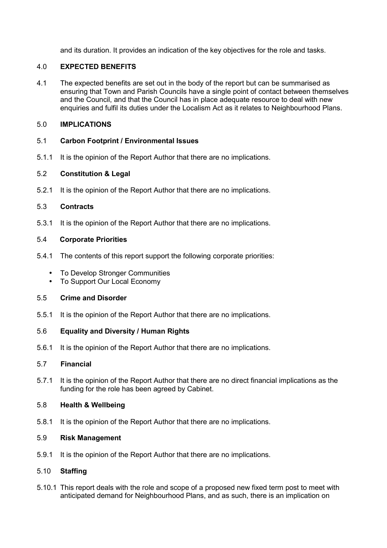and its duration. It provides an indication of the key objectives for the role and tasks.

## 4.0 **EXPECTED BENEFITS**

4.1 The expected benefits are set out in the body of the report but can be summarised as ensuring that Town and Parish Councils have a single point of contact between themselves and the Council, and that the Council has in place adequate resource to deal with new enquiries and fulfil its duties under the Localism Act as it relates to Neighbourhood Plans.

## 5.0 **IMPLICATIONS**

## 5.1 **Carbon Footprint / Environmental Issues**

5.1.1 It is the opinion of the Report Author that there are no implications.

# 5.2 **Constitution & Legal**

5.2.1 It is the opinion of the Report Author that there are no implications.

## 5.3 **Contracts**

5.3.1 It is the opinion of the Report Author that there are no implications.

### 5.4 **Corporate Priorities**

- 5.4.1 The contents of this report support the following corporate priorities:
	- To Develop Stronger Communities
	- To Support Our Local Economy

### 5.5 **Crime and Disorder**

5.5.1 It is the opinion of the Report Author that there are no implications.

# 5.6 **Equality and Diversity / Human Rights**

5.6.1 It is the opinion of the Report Author that there are no implications.

# 5.7 **Financial**

5.7.1 It is the opinion of the Report Author that there are no direct financial implications as the funding for the role has been agreed by Cabinet.

# 5.8 **Health & Wellbeing**

5.8.1 It is the opinion of the Report Author that there are no implications.

## 5.9 **Risk Management**

5.9.1 It is the opinion of the Report Author that there are no implications.

## 5.10 **Staffing**

5.10.1 This report deals with the role and scope of a proposed new fixed term post to meet with anticipated demand for Neighbourhood Plans, and as such, there is an implication on